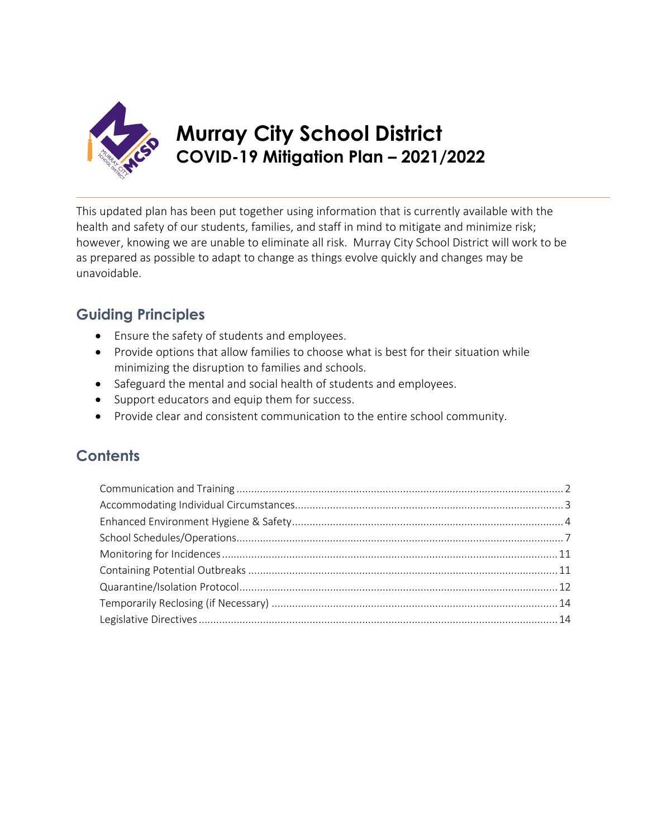

## **Murray City School District COVID-19 Mitigation Plan – 2021/2022**

This updated plan has been put together using information that is currently available with the health and safety of our students, families, and staff in mind to mitigate and minimize risk; however, knowing we are unable to eliminate all risk. Murray City School District will work to be as prepared as possible to adapt to change as things evolve quickly and changes may be unavoidable.

### **Guiding Principles**

- Ensure the safety of students and employees.
- Provide options that allow families to choose what is best for their situation while minimizing the disruption to families and schools.
- Safeguard the mental and social health of students and employees.
- Support educators and equip them for success.
- Provide clear and consistent communication to the entire school community.

### **Contents**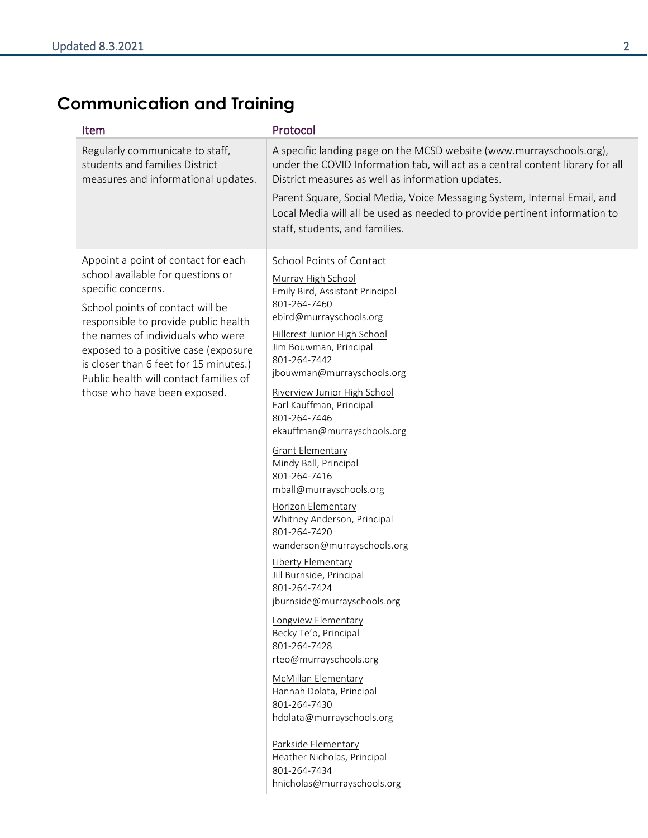# <span id="page-1-0"></span>**Communication and Training**

| Item                                                                                                                                                                                                                                                                                                                                                                        | Protocol                                                                                                                                                                                                                                                                                                                                                                                                                                                                                                                                                                                                                                                                                                                                                                                                                                                                                                                                                  |
|-----------------------------------------------------------------------------------------------------------------------------------------------------------------------------------------------------------------------------------------------------------------------------------------------------------------------------------------------------------------------------|-----------------------------------------------------------------------------------------------------------------------------------------------------------------------------------------------------------------------------------------------------------------------------------------------------------------------------------------------------------------------------------------------------------------------------------------------------------------------------------------------------------------------------------------------------------------------------------------------------------------------------------------------------------------------------------------------------------------------------------------------------------------------------------------------------------------------------------------------------------------------------------------------------------------------------------------------------------|
| Regularly communicate to staff,<br>students and families District<br>measures and informational updates.                                                                                                                                                                                                                                                                    | A specific landing page on the MCSD website (www.murrayschools.org),<br>under the COVID Information tab, will act as a central content library for all<br>District measures as well as information updates.<br>Parent Square, Social Media, Voice Messaging System, Internal Email, and<br>Local Media will all be used as needed to provide pertinent information to<br>staff, students, and families.                                                                                                                                                                                                                                                                                                                                                                                                                                                                                                                                                   |
| Appoint a point of contact for each<br>school available for questions or<br>specific concerns.<br>School points of contact will be<br>responsible to provide public health<br>the names of individuals who were<br>exposed to a positive case (exposure<br>is closer than 6 feet for 15 minutes.)<br>Public health will contact families of<br>those who have been exposed. | School Points of Contact<br>Murray High School<br>Emily Bird, Assistant Principal<br>801-264-7460<br>ebird@murrayschools.org<br>Hillcrest Junior High School<br>Jim Bouwman, Principal<br>801-264-7442<br>jbouwman@murrayschools.org<br>Riverview Junior High School<br>Earl Kauffman, Principal<br>801-264-7446<br>ekauffman@murrayschools.org<br><b>Grant Elementary</b><br>Mindy Ball, Principal<br>801-264-7416<br>mball@murrayschools.org<br>Horizon Elementary<br>Whitney Anderson, Principal<br>801-264-7420<br>wanderson@murrayschools.org<br>Liberty Elementary<br>Jill Burnside, Principal<br>801-264-7424<br>jburnside@murrayschools.org<br>Longview Elementary<br>Becky Te'o, Principal<br>801-264-7428<br>rteo@murrayschools.org<br><b>McMillan Elementary</b><br>Hannah Dolata, Principal<br>801-264-7430<br>hdolata@murrayschools.org<br>Parkside Elementary<br>Heather Nicholas, Principal<br>801-264-7434<br>hnicholas@murrayschools.org |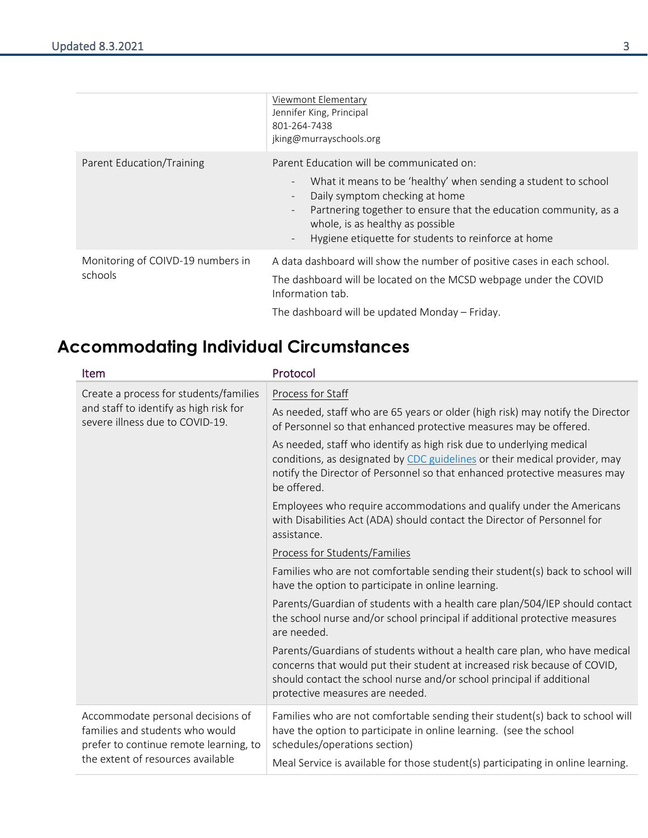|                                              | Viewmont Elementary<br>Jennifer King, Principal<br>801-264-7438<br>jking@murrayschools.org                                                                                                                                                                                                                                                                                                                                   |
|----------------------------------------------|------------------------------------------------------------------------------------------------------------------------------------------------------------------------------------------------------------------------------------------------------------------------------------------------------------------------------------------------------------------------------------------------------------------------------|
| Parent Education/Training                    | Parent Education will be communicated on:<br>What it means to be 'healthy' when sending a student to school<br>$\overline{\phantom{a}}$<br>Daily symptom checking at home<br>$\overline{\phantom{a}}$<br>Partnering together to ensure that the education community, as a<br>$\overline{\phantom{a}}$<br>whole, is as healthy as possible<br>Hygiene etiquette for students to reinforce at home<br>$\overline{\phantom{a}}$ |
| Monitoring of COIVD-19 numbers in<br>schools | A data dashboard will show the number of positive cases in each school.<br>The dashboard will be located on the MCSD webpage under the COVID<br>Information tab.<br>The dashboard will be updated Monday - Friday.                                                                                                                                                                                                           |

## <span id="page-2-0"></span>**Accommodating Individual Circumstances**

| Item                                                                                                                                                | Protocol                                                                                                                                                                                                                                                            |
|-----------------------------------------------------------------------------------------------------------------------------------------------------|---------------------------------------------------------------------------------------------------------------------------------------------------------------------------------------------------------------------------------------------------------------------|
| Create a process for students/families<br>and staff to identify as high risk for<br>severe illness due to COVID-19.                                 | Process for Staff                                                                                                                                                                                                                                                   |
|                                                                                                                                                     | As needed, staff who are 65 years or older (high risk) may notify the Director<br>of Personnel so that enhanced protective measures may be offered.                                                                                                                 |
|                                                                                                                                                     | As needed, staff who identify as high risk due to underlying medical<br>conditions, as designated by CDC guidelines or their medical provider, may<br>notify the Director of Personnel so that enhanced protective measures may<br>be offered.                      |
|                                                                                                                                                     | Employees who require accommodations and qualify under the Americans<br>with Disabilities Act (ADA) should contact the Director of Personnel for<br>assistance.                                                                                                     |
|                                                                                                                                                     | Process for Students/Families                                                                                                                                                                                                                                       |
|                                                                                                                                                     | Families who are not comfortable sending their student(s) back to school will<br>have the option to participate in online learning.                                                                                                                                 |
|                                                                                                                                                     | Parents/Guardian of students with a health care plan/504/IEP should contact<br>the school nurse and/or school principal if additional protective measures<br>are needed.                                                                                            |
|                                                                                                                                                     | Parents/Guardians of students without a health care plan, who have medical<br>concerns that would put their student at increased risk because of COVID,<br>should contact the school nurse and/or school principal if additional<br>protective measures are needed. |
| Accommodate personal decisions of<br>families and students who would<br>prefer to continue remote learning, to<br>the extent of resources available | Families who are not comfortable sending their student(s) back to school will<br>have the option to participate in online learning. (see the school<br>schedules/operations section)                                                                                |
|                                                                                                                                                     | Meal Service is available for those student(s) participating in online learning.                                                                                                                                                                                    |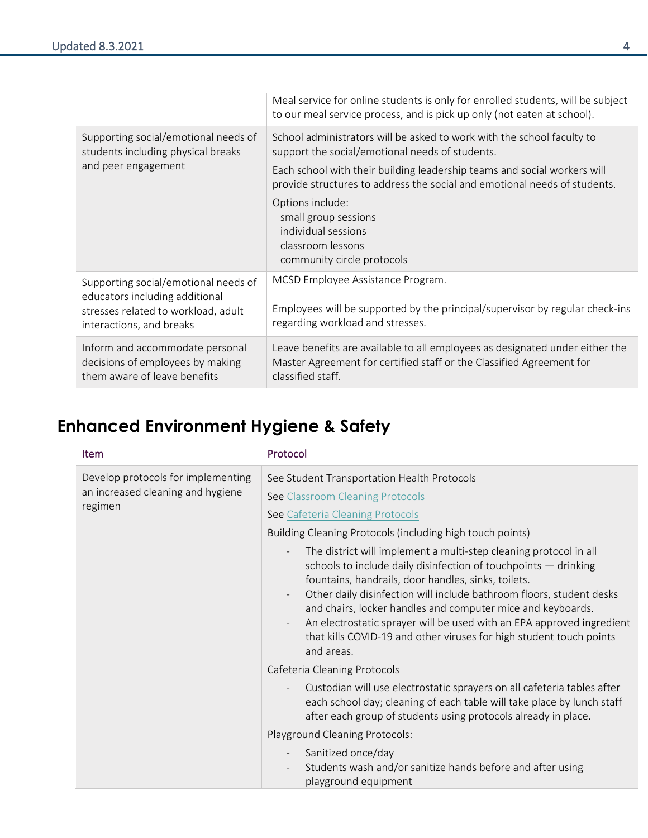|                                                                                                                                           | Meal service for online students is only for enrolled students, will be subject<br>to our meal service process, and is pick up only (not eaten at school).                |
|-------------------------------------------------------------------------------------------------------------------------------------------|---------------------------------------------------------------------------------------------------------------------------------------------------------------------------|
| Supporting social/emotional needs of<br>students including physical breaks                                                                | School administrators will be asked to work with the school faculty to<br>support the social/emotional needs of students.                                                 |
| and peer engagement                                                                                                                       | Each school with their building leadership teams and social workers will<br>provide structures to address the social and emotional needs of students.                     |
|                                                                                                                                           | Options include:<br>small group sessions<br>individual sessions<br>classroom lessons<br>community circle protocols                                                        |
| Supporting social/emotional needs of<br>educators including additional<br>stresses related to workload, adult<br>interactions, and breaks | MCSD Employee Assistance Program.<br>Employees will be supported by the principal/supervisor by regular check-ins<br>regarding workload and stresses.                     |
| Inform and accommodate personal<br>decisions of employees by making<br>them aware of leave benefits                                       | Leave benefits are available to all employees as designated under either the<br>Master Agreement for certified staff or the Classified Agreement for<br>classified staff. |

### <span id="page-3-0"></span>**Enhanced Environment Hygiene & Safety**

| Item                                                                               | Protocol                                                                                                                                                                                                                                                                                                                                                                                                                                                                                                                                                                                        |
|------------------------------------------------------------------------------------|-------------------------------------------------------------------------------------------------------------------------------------------------------------------------------------------------------------------------------------------------------------------------------------------------------------------------------------------------------------------------------------------------------------------------------------------------------------------------------------------------------------------------------------------------------------------------------------------------|
| Develop protocols for implementing<br>an increased cleaning and hygiene<br>regimen | See Student Transportation Health Protocols<br>See Classroom Cleaning Protocols<br>See Cafeteria Cleaning Protocols<br>Building Cleaning Protocols (including high touch points)<br>The district will implement a multi-step cleaning protocol in all<br>schools to include daily disinfection of touchpoints - drinking<br>fountains, handrails, door handles, sinks, toilets.<br>Other daily disinfection will include bathroom floors, student desks<br>and chairs, locker handles and computer mice and keyboards.<br>An electrostatic sprayer will be used with an EPA approved ingredient |
|                                                                                    | that kills COVID-19 and other viruses for high student touch points<br>and areas.<br>Cafeteria Cleaning Protocols<br>Custodian will use electrostatic sprayers on all cafeteria tables after<br>each school day; cleaning of each table will take place by lunch staff<br>after each group of students using protocols already in place.<br>Playground Cleaning Protocols:                                                                                                                                                                                                                      |
|                                                                                    | Sanitized once/day<br>Students wash and/or sanitize hands before and after using<br>playground equipment                                                                                                                                                                                                                                                                                                                                                                                                                                                                                        |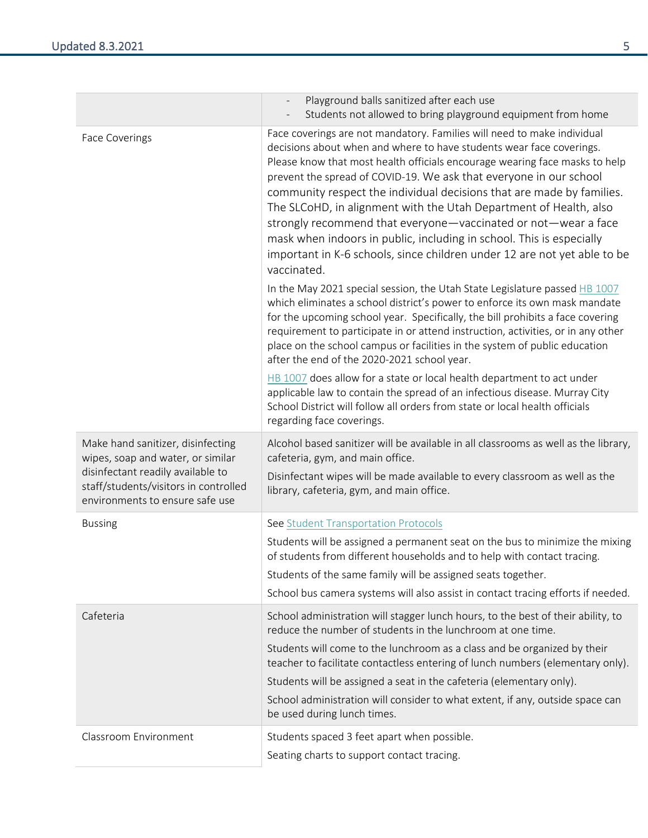|                                                                                                                                                                                         | Playground balls sanitized after each use<br>Students not allowed to bring playground equipment from home                                                                                                                                                                                                                                                                                                                                                                                                                                                                                                                                                                               |
|-----------------------------------------------------------------------------------------------------------------------------------------------------------------------------------------|-----------------------------------------------------------------------------------------------------------------------------------------------------------------------------------------------------------------------------------------------------------------------------------------------------------------------------------------------------------------------------------------------------------------------------------------------------------------------------------------------------------------------------------------------------------------------------------------------------------------------------------------------------------------------------------------|
| <b>Face Coverings</b>                                                                                                                                                                   | Face coverings are not mandatory. Families will need to make individual<br>decisions about when and where to have students wear face coverings.<br>Please know that most health officials encourage wearing face masks to help<br>prevent the spread of COVID-19. We ask that everyone in our school<br>community respect the individual decisions that are made by families.<br>The SLCoHD, in alignment with the Utah Department of Health, also<br>strongly recommend that everyone-vaccinated or not-wear a face<br>mask when indoors in public, including in school. This is especially<br>important in K-6 schools, since children under 12 are not yet able to be<br>vaccinated. |
|                                                                                                                                                                                         | In the May 2021 special session, the Utah State Legislature passed HB 1007<br>which eliminates a school district's power to enforce its own mask mandate<br>for the upcoming school year. Specifically, the bill prohibits a face covering<br>requirement to participate in or attend instruction, activities, or in any other<br>place on the school campus or facilities in the system of public education<br>after the end of the 2020-2021 school year.                                                                                                                                                                                                                             |
|                                                                                                                                                                                         | HB 1007 does allow for a state or local health department to act under<br>applicable law to contain the spread of an infectious disease. Murray City<br>School District will follow all orders from state or local health officials<br>regarding face coverings.                                                                                                                                                                                                                                                                                                                                                                                                                        |
| Make hand sanitizer, disinfecting<br>wipes, soap and water, or similar<br>disinfectant readily available to<br>staff/students/visitors in controlled<br>environments to ensure safe use | Alcohol based sanitizer will be available in all classrooms as well as the library,<br>cafeteria, gym, and main office.<br>Disinfectant wipes will be made available to every classroom as well as the<br>library, cafeteria, gym, and main office.                                                                                                                                                                                                                                                                                                                                                                                                                                     |
| <b>Bussing</b>                                                                                                                                                                          | See Student Transportation Protocols<br>Students will be assigned a permanent seat on the bus to minimize the mixing<br>of students from different households and to help with contact tracing.<br>Students of the same family will be assigned seats together.<br>School bus camera systems will also assist in contact tracing efforts if needed.                                                                                                                                                                                                                                                                                                                                     |
| Cafeteria                                                                                                                                                                               | School administration will stagger lunch hours, to the best of their ability, to<br>reduce the number of students in the lunchroom at one time.<br>Students will come to the lunchroom as a class and be organized by their<br>teacher to facilitate contactless entering of lunch numbers (elementary only).<br>Students will be assigned a seat in the cafeteria (elementary only).<br>School administration will consider to what extent, if any, outside space can<br>be used during lunch times.                                                                                                                                                                                   |
| Classroom Environment                                                                                                                                                                   | Students spaced 3 feet apart when possible.<br>Seating charts to support contact tracing.                                                                                                                                                                                                                                                                                                                                                                                                                                                                                                                                                                                               |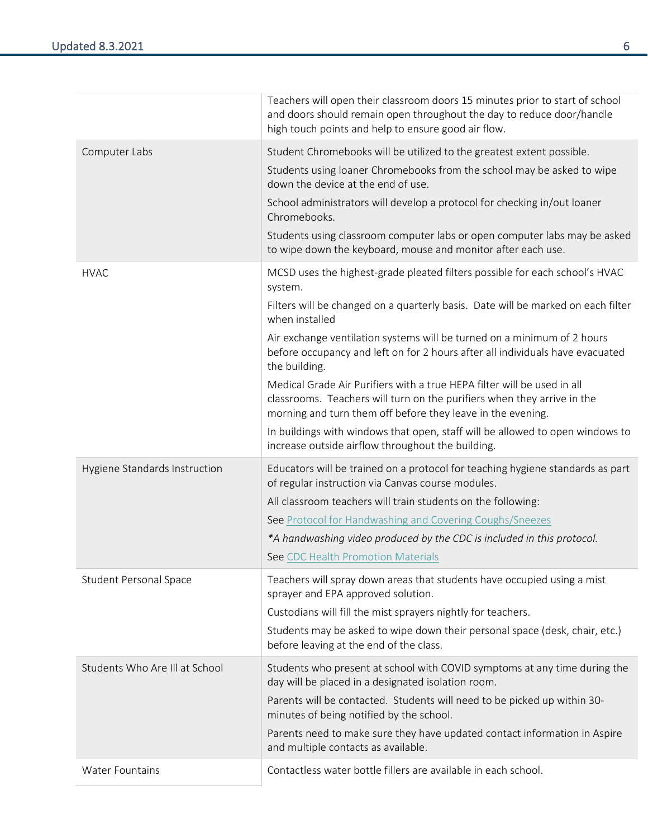|                                | Teachers will open their classroom doors 15 minutes prior to start of school<br>and doors should remain open throughout the day to reduce door/handle<br>high touch points and help to ensure good air flow.      |
|--------------------------------|-------------------------------------------------------------------------------------------------------------------------------------------------------------------------------------------------------------------|
| Computer Labs                  | Student Chromebooks will be utilized to the greatest extent possible.                                                                                                                                             |
|                                | Students using loaner Chromebooks from the school may be asked to wipe<br>down the device at the end of use.                                                                                                      |
|                                | School administrators will develop a protocol for checking in/out loaner<br>Chromebooks.                                                                                                                          |
|                                | Students using classroom computer labs or open computer labs may be asked<br>to wipe down the keyboard, mouse and monitor after each use.                                                                         |
| <b>HVAC</b>                    | MCSD uses the highest-grade pleated filters possible for each school's HVAC<br>system.                                                                                                                            |
|                                | Filters will be changed on a quarterly basis. Date will be marked on each filter<br>when installed                                                                                                                |
|                                | Air exchange ventilation systems will be turned on a minimum of 2 hours<br>before occupancy and left on for 2 hours after all individuals have evacuated<br>the building.                                         |
|                                | Medical Grade Air Purifiers with a true HEPA filter will be used in all<br>classrooms. Teachers will turn on the purifiers when they arrive in the<br>morning and turn them off before they leave in the evening. |
|                                | In buildings with windows that open, staff will be allowed to open windows to<br>increase outside airflow throughout the building.                                                                                |
| Hygiene Standards Instruction  | Educators will be trained on a protocol for teaching hygiene standards as part<br>of regular instruction via Canvas course modules.                                                                               |
|                                | All classroom teachers will train students on the following:                                                                                                                                                      |
|                                | See Protocol for Handwashing and Covering Coughs/Sneezes                                                                                                                                                          |
|                                | *A handwashing video produced by the CDC is included in this protocol.                                                                                                                                            |
|                                | See CDC Health Promotion Materials                                                                                                                                                                                |
| <b>Student Personal Space</b>  | Teachers will spray down areas that students have occupied using a mist<br>sprayer and EPA approved solution.                                                                                                     |
|                                | Custodians will fill the mist sprayers nightly for teachers.                                                                                                                                                      |
|                                | Students may be asked to wipe down their personal space (desk, chair, etc.)<br>before leaving at the end of the class.                                                                                            |
| Students Who Are Ill at School | Students who present at school with COVID symptoms at any time during the<br>day will be placed in a designated isolation room.                                                                                   |
|                                | Parents will be contacted. Students will need to be picked up within 30-<br>minutes of being notified by the school.                                                                                              |
|                                | Parents need to make sure they have updated contact information in Aspire<br>and multiple contacts as available.                                                                                                  |
| <b>Water Fountains</b>         | Contactless water bottle fillers are available in each school.                                                                                                                                                    |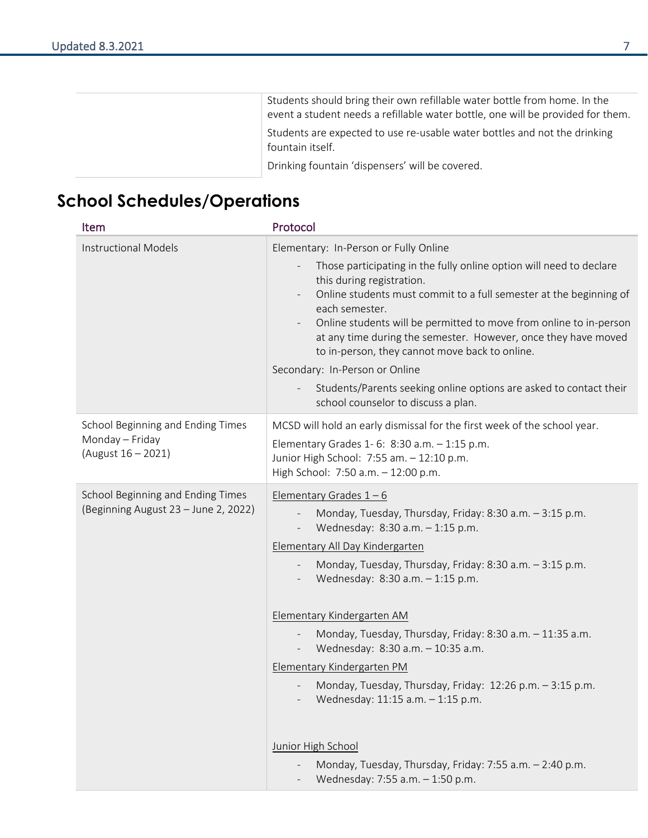Students should bring their own refillable water bottle from home. In the event a student needs a refillable water bottle, one will be provided for them. Students are expected to use re-usable water bottles and not the drinking fountain itself.

Drinking fountain 'dispensers' will be covered.

### <span id="page-6-0"></span>**School Schedules/Operations**

| <b>Item</b>                                                                | Protocol                                                                                                                                                                                                                                                                                                                                                                                                                                                                                                                                                                                                                                             |
|----------------------------------------------------------------------------|------------------------------------------------------------------------------------------------------------------------------------------------------------------------------------------------------------------------------------------------------------------------------------------------------------------------------------------------------------------------------------------------------------------------------------------------------------------------------------------------------------------------------------------------------------------------------------------------------------------------------------------------------|
| <b>Instructional Models</b>                                                | Elementary: In-Person or Fully Online<br>Those participating in the fully online option will need to declare<br>this during registration.<br>Online students must commit to a full semester at the beginning of<br>each semester.<br>Online students will be permitted to move from online to in-person<br>at any time during the semester. However, once they have moved<br>to in-person, they cannot move back to online.<br>Secondary: In-Person or Online<br>Students/Parents seeking online options are asked to contact their<br>school counselor to discuss a plan.                                                                           |
| School Beginning and Ending Times<br>Monday - Friday<br>(August 16 - 2021) | MCSD will hold an early dismissal for the first week of the school year.<br>Elementary Grades 1-6: 8:30 a.m. - 1:15 p.m.<br>Junior High School: 7:55 am. - 12:10 p.m.<br>High School: 7:50 a.m. - 12:00 p.m.                                                                                                                                                                                                                                                                                                                                                                                                                                         |
| School Beginning and Ending Times<br>(Beginning August 23 - June 2, 2022)  | Elementary Grades $1 - 6$<br>Monday, Tuesday, Thursday, Friday: 8:30 a.m. - 3:15 p.m.<br>Wednesday: 8:30 a.m. - 1:15 p.m.<br>Elementary All Day Kindergarten<br>Monday, Tuesday, Thursday, Friday: 8:30 a.m. - 3:15 p.m.<br>Wednesday: 8:30 a.m. - 1:15 p.m.<br>Elementary Kindergarten AM<br>Monday, Tuesday, Thursday, Friday: 8:30 a.m. - 11:35 a.m.<br>Wednesday: 8:30 a.m. - 10:35 a.m.<br>Elementary Kindergarten PM<br>Monday, Tuesday, Thursday, Friday: 12:26 p.m. - 3:15 p.m.<br>Wednesday: 11:15 a.m. $-$ 1:15 p.m.<br>Junior High School<br>Monday, Tuesday, Thursday, Friday: 7:55 a.m. - 2:40 p.m.<br>Wednesday: 7:55 a.m. - 1:50 p.m. |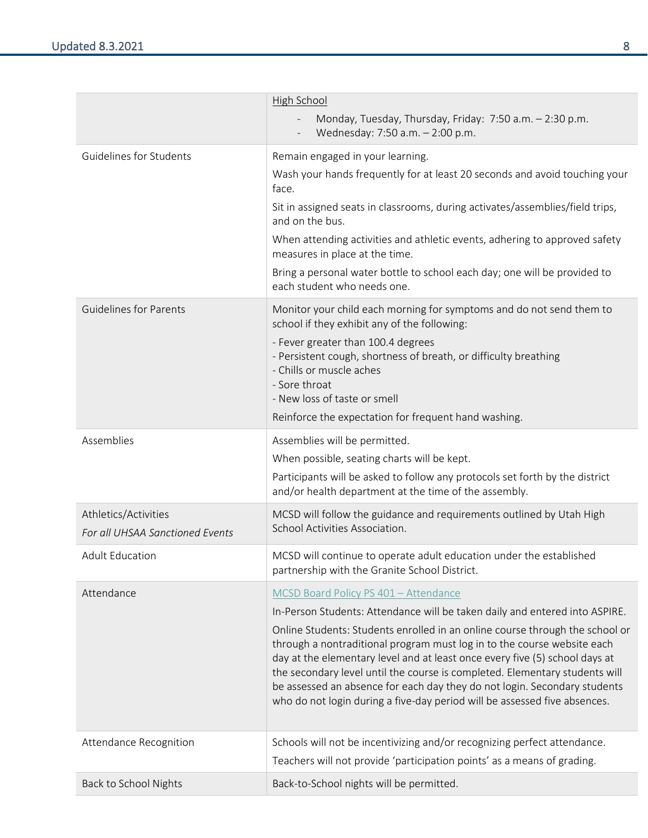|                                                         | High School<br>Monday, Tuesday, Thursday, Friday: 7:50 a.m. - 2:30 p.m.<br>Wednesday: 7:50 a.m. - 2:00 p.m.                                                                                                                                                                                                                                                                                                                                                                                                                                                                                             |
|---------------------------------------------------------|---------------------------------------------------------------------------------------------------------------------------------------------------------------------------------------------------------------------------------------------------------------------------------------------------------------------------------------------------------------------------------------------------------------------------------------------------------------------------------------------------------------------------------------------------------------------------------------------------------|
| Guidelines for Students                                 | Remain engaged in your learning.<br>Wash your hands frequently for at least 20 seconds and avoid touching your<br>face.<br>Sit in assigned seats in classrooms, during activates/assemblies/field trips,<br>and on the bus.<br>When attending activities and athletic events, adhering to approved safety<br>measures in place at the time.<br>Bring a personal water bottle to school each day; one will be provided to<br>each student who needs one.                                                                                                                                                 |
| <b>Guidelines for Parents</b>                           | Monitor your child each morning for symptoms and do not send them to<br>school if they exhibit any of the following:<br>- Fever greater than 100.4 degrees<br>- Persistent cough, shortness of breath, or difficulty breathing<br>- Chills or muscle aches<br>- Sore throat<br>- New loss of taste or smell<br>Reinforce the expectation for frequent hand washing.                                                                                                                                                                                                                                     |
| Assemblies                                              | Assemblies will be permitted.<br>When possible, seating charts will be kept.<br>Participants will be asked to follow any protocols set forth by the district<br>and/or health department at the time of the assembly.                                                                                                                                                                                                                                                                                                                                                                                   |
| Athletics/Activities<br>For all UHSAA Sanctioned Events | MCSD will follow the guidance and requirements outlined by Utah High<br>School Activities Association.                                                                                                                                                                                                                                                                                                                                                                                                                                                                                                  |
| <b>Adult Education</b>                                  | MCSD will continue to operate adult education under the established<br>partnership with the Granite School District.                                                                                                                                                                                                                                                                                                                                                                                                                                                                                    |
| Attendance                                              | MCSD Board Policy PS 401 - Attendance<br>In-Person Students: Attendance will be taken daily and entered into ASPIRE.<br>Online Students: Students enrolled in an online course through the school or<br>through a nontraditional program must log in to the course website each<br>day at the elementary level and at least once every five (5) school days at<br>the secondary level until the course is completed. Elementary students will<br>be assessed an absence for each day they do not login. Secondary students<br>who do not login during a five-day period will be assessed five absences. |
| Attendance Recognition                                  | Schools will not be incentivizing and/or recognizing perfect attendance.<br>Teachers will not provide 'participation points' as a means of grading.                                                                                                                                                                                                                                                                                                                                                                                                                                                     |
| Back to School Nights                                   | Back-to-School nights will be permitted.                                                                                                                                                                                                                                                                                                                                                                                                                                                                                                                                                                |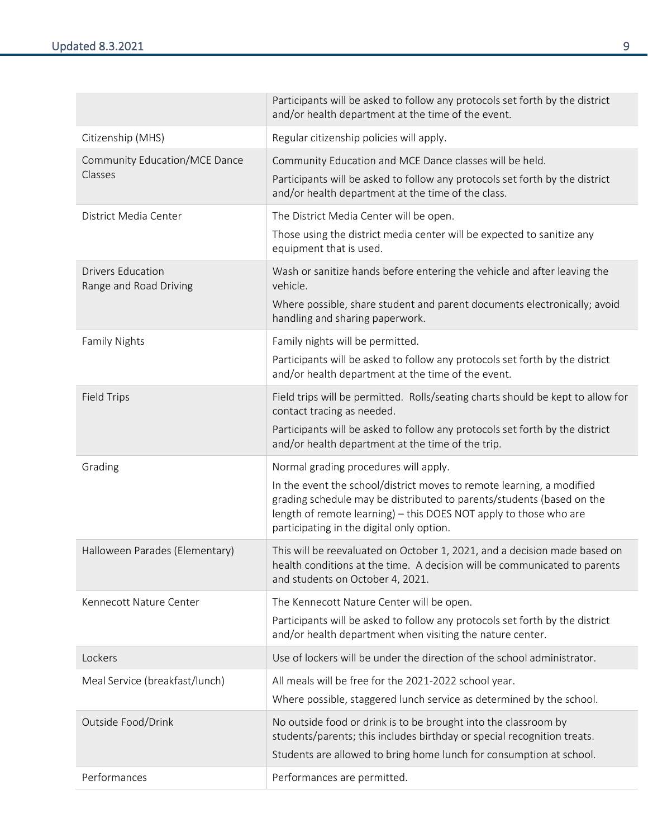|                                                    | Participants will be asked to follow any protocols set forth by the district<br>and/or health department at the time of the event.                                                                                                                                                                        |
|----------------------------------------------------|-----------------------------------------------------------------------------------------------------------------------------------------------------------------------------------------------------------------------------------------------------------------------------------------------------------|
| Citizenship (MHS)                                  | Regular citizenship policies will apply.                                                                                                                                                                                                                                                                  |
| Community Education/MCE Dance<br>Classes           | Community Education and MCE Dance classes will be held.<br>Participants will be asked to follow any protocols set forth by the district<br>and/or health department at the time of the class.                                                                                                             |
| District Media Center                              | The District Media Center will be open.<br>Those using the district media center will be expected to sanitize any<br>equipment that is used.                                                                                                                                                              |
| <b>Drivers Education</b><br>Range and Road Driving | Wash or sanitize hands before entering the vehicle and after leaving the<br>vehicle.<br>Where possible, share student and parent documents electronically; avoid<br>handling and sharing paperwork.                                                                                                       |
| <b>Family Nights</b>                               | Family nights will be permitted.<br>Participants will be asked to follow any protocols set forth by the district<br>and/or health department at the time of the event.                                                                                                                                    |
| <b>Field Trips</b>                                 | Field trips will be permitted. Rolls/seating charts should be kept to allow for<br>contact tracing as needed.<br>Participants will be asked to follow any protocols set forth by the district<br>and/or health department at the time of the trip.                                                        |
| Grading                                            | Normal grading procedures will apply.<br>In the event the school/district moves to remote learning, a modified<br>grading schedule may be distributed to parents/students (based on the<br>length of remote learning) - this DOES NOT apply to those who are<br>participating in the digital only option. |
| Halloween Parades (Elementary)                     | This will be reevaluated on October 1, 2021, and a decision made based on<br>health conditions at the time. A decision will be communicated to parents<br>and students on October 4, 2021.                                                                                                                |
| Kennecott Nature Center                            | The Kennecott Nature Center will be open.<br>Participants will be asked to follow any protocols set forth by the district<br>and/or health department when visiting the nature center.                                                                                                                    |
| Lockers                                            | Use of lockers will be under the direction of the school administrator.                                                                                                                                                                                                                                   |
| Meal Service (breakfast/lunch)                     | All meals will be free for the 2021-2022 school year.<br>Where possible, staggered lunch service as determined by the school.                                                                                                                                                                             |
| Outside Food/Drink                                 | No outside food or drink is to be brought into the classroom by<br>students/parents; this includes birthday or special recognition treats.<br>Students are allowed to bring home lunch for consumption at school.                                                                                         |
| Performances                                       | Performances are permitted.                                                                                                                                                                                                                                                                               |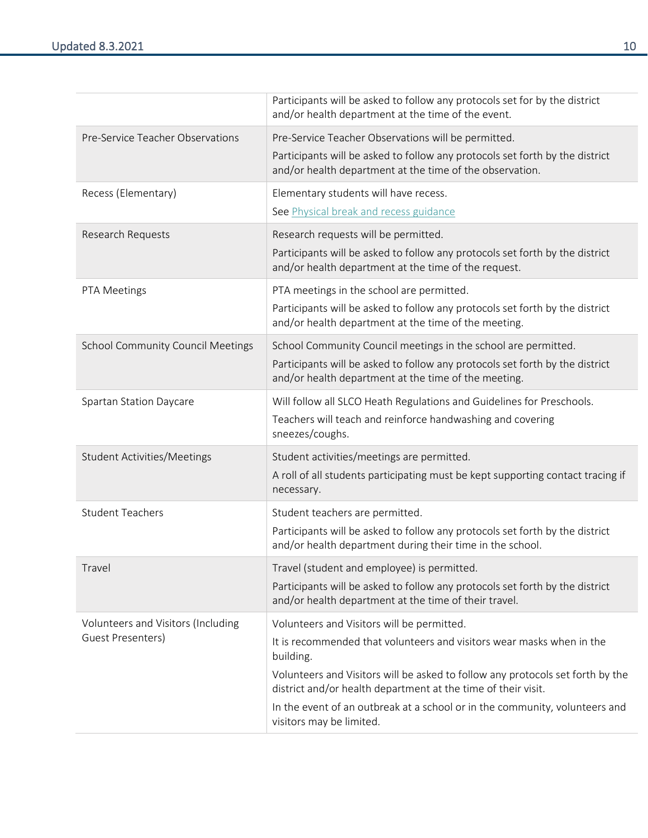|                                                         | Participants will be asked to follow any protocols set for by the district<br>and/or health department at the time of the event.                |
|---------------------------------------------------------|-------------------------------------------------------------------------------------------------------------------------------------------------|
| Pre-Service Teacher Observations                        | Pre-Service Teacher Observations will be permitted.                                                                                             |
|                                                         | Participants will be asked to follow any protocols set forth by the district<br>and/or health department at the time of the observation.        |
| Recess (Elementary)                                     | Elementary students will have recess.                                                                                                           |
|                                                         | See Physical break and recess guidance                                                                                                          |
| Research Requests                                       | Research requests will be permitted.                                                                                                            |
|                                                         | Participants will be asked to follow any protocols set forth by the district<br>and/or health department at the time of the request.            |
| PTA Meetings                                            | PTA meetings in the school are permitted.                                                                                                       |
|                                                         | Participants will be asked to follow any protocols set forth by the district<br>and/or health department at the time of the meeting.            |
| <b>School Community Council Meetings</b>                | School Community Council meetings in the school are permitted.                                                                                  |
|                                                         | Participants will be asked to follow any protocols set forth by the district<br>and/or health department at the time of the meeting.            |
| Spartan Station Daycare                                 | Will follow all SLCO Heath Regulations and Guidelines for Preschools.                                                                           |
|                                                         | Teachers will teach and reinforce handwashing and covering<br>sneezes/coughs.                                                                   |
| <b>Student Activities/Meetings</b>                      | Student activities/meetings are permitted.                                                                                                      |
|                                                         | A roll of all students participating must be kept supporting contact tracing if<br>necessary.                                                   |
| <b>Student Teachers</b>                                 | Student teachers are permitted.                                                                                                                 |
|                                                         | Participants will be asked to follow any protocols set forth by the district<br>and/or health department during their time in the school.       |
| Travel                                                  | Travel (student and employee) is permitted.                                                                                                     |
|                                                         | Participants will be asked to follow any protocols set forth by the district<br>and/or health department at the time of their travel.           |
| Volunteers and Visitors (Including<br>Guest Presenters) | Volunteers and Visitors will be permitted.                                                                                                      |
|                                                         | It is recommended that volunteers and visitors wear masks when in the<br>building.                                                              |
|                                                         | Volunteers and Visitors will be asked to follow any protocols set forth by the<br>district and/or health department at the time of their visit. |
|                                                         | In the event of an outbreak at a school or in the community, volunteers and<br>visitors may be limited.                                         |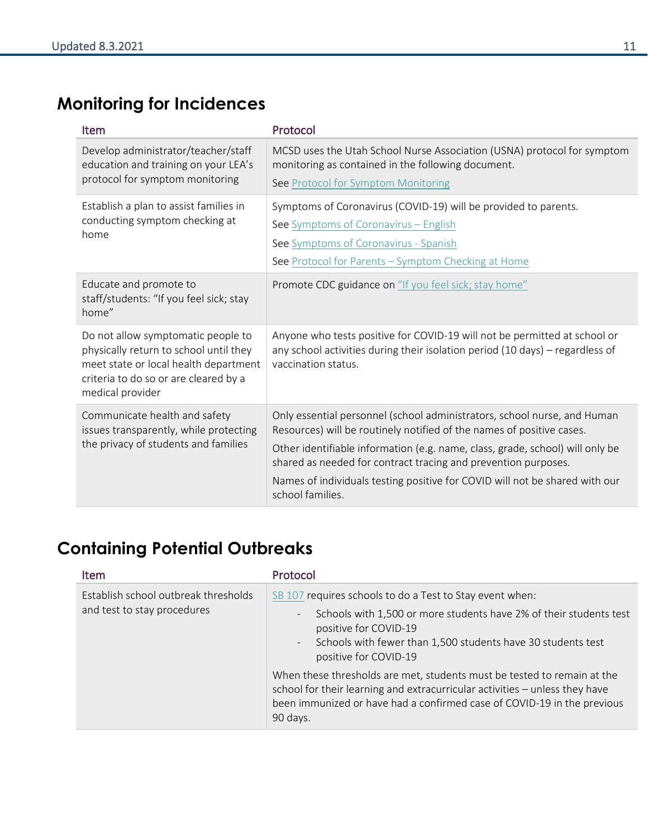## <span id="page-10-0"></span>**Monitoring for Incidences**

| Item                                                                                                                                                                               | Protocol                                                                                                                                                                                                                                                                                                                                                                                                |
|------------------------------------------------------------------------------------------------------------------------------------------------------------------------------------|---------------------------------------------------------------------------------------------------------------------------------------------------------------------------------------------------------------------------------------------------------------------------------------------------------------------------------------------------------------------------------------------------------|
| Develop administrator/teacher/staff<br>education and training on your LEA's<br>protocol for symptom monitoring                                                                     | MCSD uses the Utah School Nurse Association (USNA) protocol for symptom<br>monitoring as contained in the following document.<br>See Protocol for Symptom Monitoring                                                                                                                                                                                                                                    |
| Establish a plan to assist families in<br>conducting symptom checking at<br>home                                                                                                   | Symptoms of Coronavirus (COVID-19) will be provided to parents.<br>See Symptoms of Coronavirus - English<br>See Symptoms of Coronavirus - Spanish<br>See Protocol for Parents - Symptom Checking at Home                                                                                                                                                                                                |
| Educate and promote to<br>staff/students: "If you feel sick; stay<br>home"                                                                                                         | Promote CDC guidance on "If you feel sick; stay home"                                                                                                                                                                                                                                                                                                                                                   |
| Do not allow symptomatic people to<br>physically return to school until they<br>meet state or local health department<br>criteria to do so or are cleared by a<br>medical provider | Anyone who tests positive for COVID-19 will not be permitted at school or<br>any school activities during their isolation period (10 days) - regardless of<br>vaccination status.                                                                                                                                                                                                                       |
| Communicate health and safety<br>issues transparently, while protecting<br>the privacy of students and families                                                                    | Only essential personnel (school administrators, school nurse, and Human<br>Resources) will be routinely notified of the names of positive cases.<br>Other identifiable information (e.g. name, class, grade, school) will only be<br>shared as needed for contract tracing and prevention purposes.<br>Names of individuals testing positive for COVID will not be shared with our<br>school families. |

### <span id="page-10-1"></span>**Containing Potential Outbreaks**

| <b>Item</b>                                                         | Protocol                                                                                                                                                                                                                                                                     |
|---------------------------------------------------------------------|------------------------------------------------------------------------------------------------------------------------------------------------------------------------------------------------------------------------------------------------------------------------------|
| Establish school outbreak thresholds<br>and test to stay procedures | SB 107 requires schools to do a Test to Stay event when:<br>Schools with 1,500 or more students have 2% of their students test<br>$\overline{\phantom{a}}$<br>positive for COVID-19<br>Schools with fewer than 1,500 students have 30 students test<br>positive for COVID-19 |
|                                                                     | When these thresholds are met, students must be tested to remain at the<br>school for their learning and extracurricular activities - unless they have<br>been immunized or have had a confirmed case of COVID-19 in the previous<br>90 days.                                |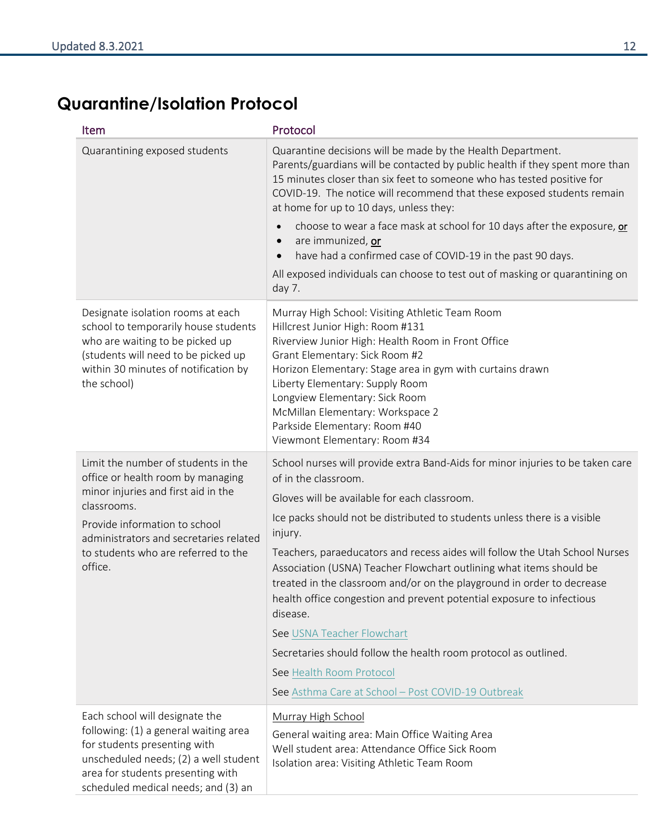### <span id="page-11-0"></span>**Quarantine/Isolation Protocol**

| <b>Item</b>                                                                                                                                                                                                                                                 | Protocol                                                                                                                                                                                                                                                                                                                                                                                                                                                                                                                                                                                                                                                                                                                                               |
|-------------------------------------------------------------------------------------------------------------------------------------------------------------------------------------------------------------------------------------------------------------|--------------------------------------------------------------------------------------------------------------------------------------------------------------------------------------------------------------------------------------------------------------------------------------------------------------------------------------------------------------------------------------------------------------------------------------------------------------------------------------------------------------------------------------------------------------------------------------------------------------------------------------------------------------------------------------------------------------------------------------------------------|
| Quarantining exposed students                                                                                                                                                                                                                               | Quarantine decisions will be made by the Health Department.<br>Parents/guardians will be contacted by public health if they spent more than<br>15 minutes closer than six feet to someone who has tested positive for<br>COVID-19. The notice will recommend that these exposed students remain<br>at home for up to 10 days, unless they:<br>choose to wear a face mask at school for 10 days after the exposure, or<br>$\bullet$<br>are immunized, or<br>$\bullet$<br>have had a confirmed case of COVID-19 in the past 90 days.<br>$\bullet$<br>All exposed individuals can choose to test out of masking or quarantining on                                                                                                                        |
| Designate isolation rooms at each<br>school to temporarily house students<br>who are waiting to be picked up<br>(students will need to be picked up<br>within 30 minutes of notification by<br>the school)                                                  | day 7.<br>Murray High School: Visiting Athletic Team Room<br>Hillcrest Junior High: Room #131<br>Riverview Junior High: Health Room in Front Office<br>Grant Elementary: Sick Room #2<br>Horizon Elementary: Stage area in gym with curtains drawn<br>Liberty Elementary: Supply Room<br>Longview Elementary: Sick Room<br>McMillan Elementary: Workspace 2<br>Parkside Elementary: Room #40<br>Viewmont Elementary: Room #34                                                                                                                                                                                                                                                                                                                          |
| Limit the number of students in the<br>office or health room by managing<br>minor injuries and first aid in the<br>classrooms.<br>Provide information to school<br>administrators and secretaries related<br>to students who are referred to the<br>office. | School nurses will provide extra Band-Aids for minor injuries to be taken care<br>of in the classroom.<br>Gloves will be available for each classroom.<br>Ice packs should not be distributed to students unless there is a visible<br>injury.<br>Teachers, paraeducators and recess aides will follow the Utah School Nurses<br>Association (USNA) Teacher Flowchart outlining what items should be<br>treated in the classroom and/or on the playground in order to decrease<br>health office congestion and prevent potential exposure to infectious<br>disease.<br>See USNA Teacher Flowchart<br>Secretaries should follow the health room protocol as outlined.<br>See Health Room Protocol<br>See Asthma Care at School - Post COVID-19 Outbreak |
| Each school will designate the<br>following: (1) a general waiting area<br>for students presenting with<br>unscheduled needs; (2) a well student<br>area for students presenting with<br>scheduled medical needs; and (3) an                                | Murray High School<br>General waiting area: Main Office Waiting Area<br>Well student area: Attendance Office Sick Room<br>Isolation area: Visiting Athletic Team Room                                                                                                                                                                                                                                                                                                                                                                                                                                                                                                                                                                                  |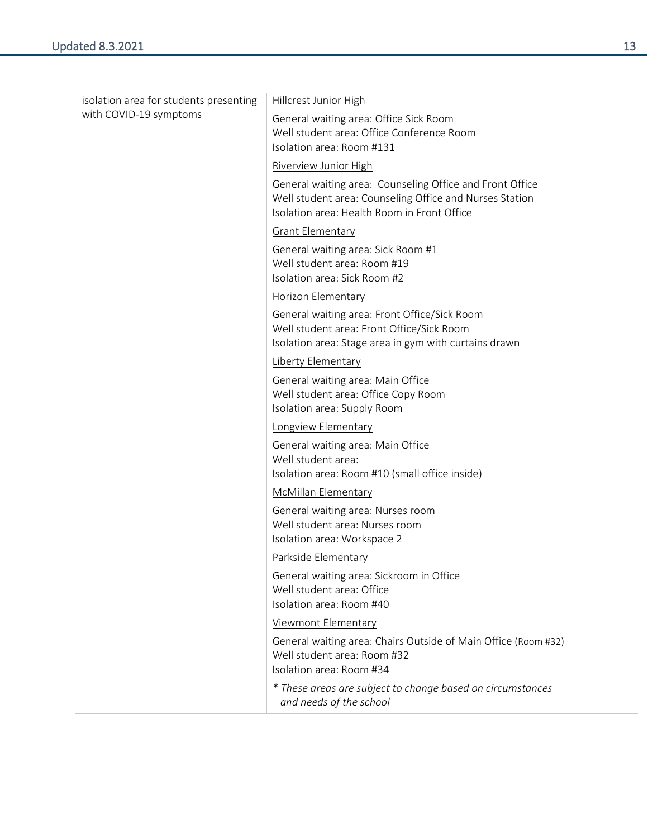| isolation area for students presenting<br>with COVID-19 symptoms | Hillcrest Junior High                                                                                                                                              |
|------------------------------------------------------------------|--------------------------------------------------------------------------------------------------------------------------------------------------------------------|
|                                                                  | General waiting area: Office Sick Room<br>Well student area: Office Conference Room<br>Isolation area: Room #131                                                   |
|                                                                  | <b>Riverview Junior High</b>                                                                                                                                       |
|                                                                  | General waiting area: Counseling Office and Front Office<br>Well student area: Counseling Office and Nurses Station<br>Isolation area: Health Room in Front Office |
|                                                                  | <b>Grant Elementary</b>                                                                                                                                            |
|                                                                  | General waiting area: Sick Room #1<br>Well student area: Room #19<br>Isolation area: Sick Room #2                                                                  |
|                                                                  | <b>Horizon Elementary</b>                                                                                                                                          |
|                                                                  | General waiting area: Front Office/Sick Room<br>Well student area: Front Office/Sick Room<br>Isolation area: Stage area in gym with curtains drawn                 |
|                                                                  | Liberty Elementary                                                                                                                                                 |
|                                                                  | General waiting area: Main Office<br>Well student area: Office Copy Room<br>Isolation area: Supply Room                                                            |
|                                                                  | Longview Elementary                                                                                                                                                |
|                                                                  | General waiting area: Main Office<br>Well student area:<br>Isolation area: Room #10 (small office inside)                                                          |
|                                                                  | <b>McMillan Elementary</b>                                                                                                                                         |
|                                                                  | General waiting area: Nurses room<br>Well student area: Nurses room<br>Isolation area: Workspace 2                                                                 |
|                                                                  | Parkside Elementary                                                                                                                                                |
|                                                                  | General waiting area: Sickroom in Office<br>Well student area: Office<br>Isolation area: Room #40                                                                  |
|                                                                  | <b>Viewmont Elementary</b>                                                                                                                                         |
|                                                                  | General waiting area: Chairs Outside of Main Office (Room #32)<br>Well student area: Room #32<br>Isolation area: Room #34                                          |
|                                                                  | * These areas are subject to change based on circumstances<br>and needs of the school                                                                              |